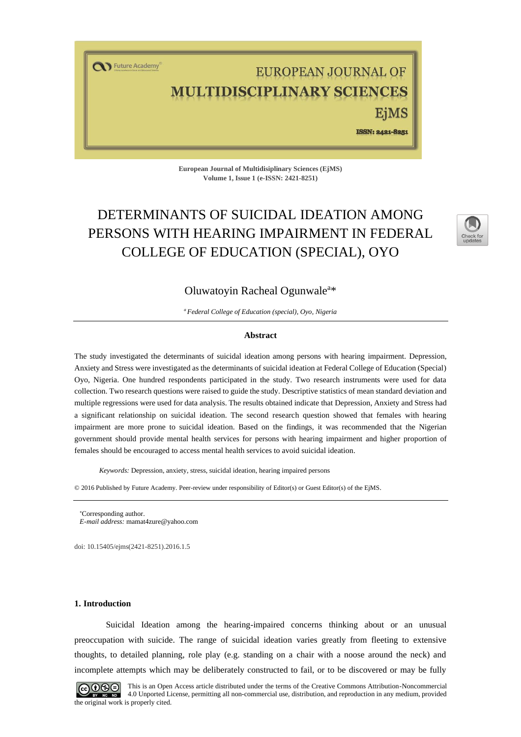T Future Academy

# EUROPEAN JOURNAL OF ULTIDISCIPLINARY SCIENCES

EiMS

ISSN: 2421-8251

**European Journal of Multidisiplinary Sciences (EjMS) Volume 1, Issue 1 (e-ISSN: 2421-8251)**

## DETERMINANTS OF SUICIDAL IDEATION AMONG PERSONS WITH HEARING IMPAIRMENT IN FEDERAL COLLEGE OF EDUCATION (SPECIAL), OYO



## Oluwatoyin Racheal Ogunwale<sup>a\*</sup>

*<sup>a</sup>Federal College of Education (special), Oyo, Nigeria*

#### **Abstract**

The study investigated the determinants of suicidal ideation among persons with hearing impairment. Depression, Anxiety and Stress were investigated as the determinants of suicidal ideation at Federal College of Education (Special) Oyo, Nigeria. One hundred respondents participated in the study. Two research instruments were used for data collection. Two research questions were raised to guide the study. Descriptive statistics of mean standard deviation and multiple regressions were used for data analysis. The results obtained indicate that Depression, Anxiety and Stress had a significant relationship on suicidal ideation. The second research question showed that females with hearing impairment are more prone to suicidal ideation. Based on the findings, it was recommended that the Nigerian government should provide mental health services for persons with hearing impairment and higher proportion of females should be encouraged to access mental health services to avoid suicidal ideation.

*Keywords:* Depression, anxiety, stress, suicidal ideation, hearing impaired persons

© 2016 Published by Future Academy. Peer-review under responsibility of Editor(s) or Guest Editor(s) of the EjMS.

doi[: 10.15405/ejms\(2421-8251\).2016.1.5](https://doi.org/10.15405/ejms(2421-8251).2016.1.5)

#### **1. Introduction**

Suicidal Ideation among the hearing-impaired concerns thinking about or an unusual preoccupation with suicide. The range of suicidal ideation varies greatly from fleeting to extensive thoughts, to detailed planning, role play (e.g. standing on a chair with a noose around the neck) and incomplete attempts which may be deliberately constructed to fail, or to be discovered or may be fully



This is an Open Access article distributed under the terms of the Creative Commons Attribution-Noncommercial 4.0 Unported License, permitting all non-commercial use, distribution, and reproduction in any medium, provided the original work is properly cited.

Corresponding author. *E-mail address:* [mamat4zure@yahoo.com](mailto:mamat4zure@yahoo.com)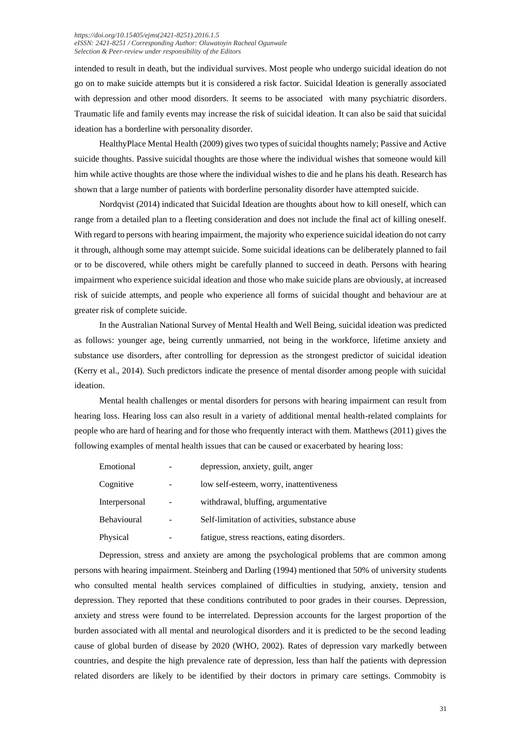#### *[https://doi.org/1](https://doi.org/)0.15405/ejms(2421-8251).2016.1.5 eISSN: 2421-8251 / Corresponding Author: Oluwatoyin Racheal Ogunwale Selection & Peer-review under responsibility of the Editors*

intended to result in death, but the individual survives. Most people who undergo suicidal ideation do not go on to make suicide attempts but it is considered a risk factor. Suicidal Ideation is generally associated with depression and other mood disorders. It seems to be associated with many psychiatric disorders. Traumatic life and family events may increase the risk of suicidal ideation. It can also be said that suicidal ideation has a borderline with personality disorder.

HealthyPlace Mental Health (2009) gives two types of suicidal thoughts namely; Passive and Active suicide thoughts. Passive suicidal thoughts are those where the individual wishes that someone would kill him while active thoughts are those where the individual wishes to die and he plans his death. Research has shown that a large number of patients with borderline personality disorder have attempted suicide.

Nordqvist (2014) indicated that Suicidal Ideation are thoughts about how to kill oneself, which can range from a detailed plan to a fleeting consideration and does not include the final act of killing oneself. With regard to persons with hearing impairment, the majority who experience suicidal ideation do not carry it through, although some may attempt suicide. Some suicidal ideations can be deliberately planned to fail or to be discovered, while others might be carefully planned to succeed in death. Persons with hearing impairment who experience suicidal ideation and those who make suicide plans are obviously, at increased risk of suicide attempts, and people who experience all forms of suicidal thought and behaviour are at greater risk of complete suicide.

In the Australian National Survey of Mental Health and Well Being, suicidal ideation was predicted as follows: younger age, being currently unmarried, not being in the workforce, lifetime anxiety and substance use disorders, after controlling for depression as the strongest predictor of suicidal ideation (Kerry et al., 2014). Such predictors indicate the presence of mental disorder among people with suicidal ideation.

Mental health challenges or mental disorders for persons with hearing impairment can result from hearing loss. Hearing loss can also result in a variety of additional mental health-related complaints for people who are hard of hearing and for those who frequently interact with them. Matthews (2011) gives the following examples of mental health issues that can be caused or exacerbated by hearing loss:

| Emotional     | depression, anxiety, guilt, anger              |  |  |
|---------------|------------------------------------------------|--|--|
| Cognitive     | low self-esteem, worry, inattentiveness        |  |  |
| Interpersonal | withdrawal, bluffing, argumentative            |  |  |
| Behavioural   | Self-limitation of activities, substance abuse |  |  |
| Physical      | fatigue, stress reactions, eating disorders.   |  |  |

Depression, stress and anxiety are among the psychological problems that are common among persons with hearing impairment. Steinberg and Darling (1994) mentioned that 50% of university students who consulted mental health services complained of difficulties in studying, anxiety, tension and depression. They reported that these conditions contributed to poor grades in their courses. Depression, anxiety and stress were found to be interrelated. Depression accounts for the largest proportion of the burden associated with all mental and neurological disorders and it is predicted to be the second leading cause of global burden of disease by 2020 (WHO, 2002). Rates of depression vary markedly between countries, and despite the high prevalence rate of depression, less than half the patients with depression related disorders are likely to be identified by their doctors in primary care settings. Commobity is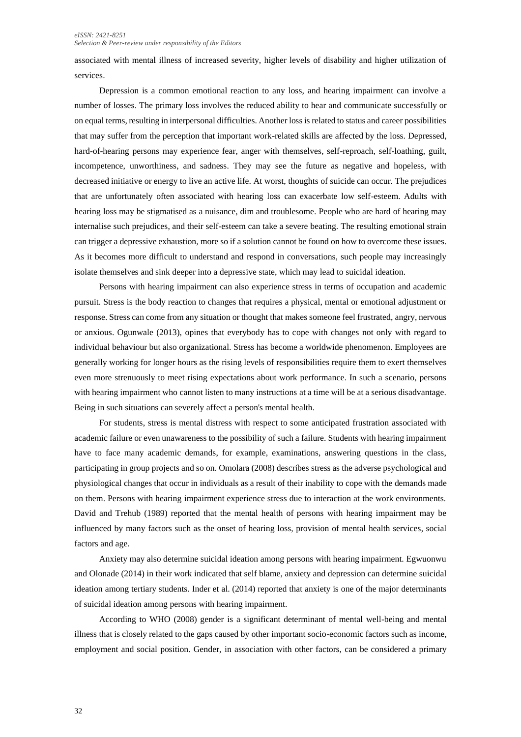#### *eISSN: 2421-8251 Selection & Peer-review under responsibility of the Editors*

associated with mental illness of increased severity, higher levels of disability and higher utilization of services.

Depression is a common emotional reaction to any loss, and hearing impairment can involve a number of losses. The primary loss involves the reduced ability to hear and communicate successfully or on equal terms, resulting in interpersonal difficulties. Another loss is related to status and career possibilities that may suffer from the perception that important work-related skills are affected by the loss. Depressed, hard-of-hearing persons may experience fear, anger with themselves, self-reproach, self-loathing, guilt, incompetence, unworthiness, and sadness. They may see the future as negative and hopeless, with decreased initiative or energy to live an active life. At worst, thoughts of suicide can occur. The prejudices that are unfortunately often associated with hearing loss can exacerbate low self-esteem. Adults with hearing loss may be stigmatised as a nuisance, dim and troublesome. People who are hard of hearing may internalise such prejudices, and their self-esteem can take a severe beating. The resulting emotional strain can trigger a depressive exhaustion, more so if a solution cannot be found on how to overcome these issues. As it becomes more difficult to understand and respond in conversations, such people may increasingly isolate themselves and sink deeper into a depressive state, which may lead to suicidal ideation.

Persons with hearing impairment can also experience stress in terms of occupation and academic pursuit. Stress is the body reaction to changes that requires a physical, mental or emotional adjustment or response. Stress can come from any situation or thought that makes someone feel frustrated, angry, nervous or anxious. Ogunwale (2013), opines that everybody has to cope with changes not only with regard to individual behaviour but also organizational. Stress has become a worldwide phenomenon. Employees are generally working for longer hours as the rising levels of responsibilities require them to exert themselves even more strenuously to meet rising expectations about work performance. In such a scenario, persons with hearing impairment who cannot listen to many instructions at a time will be at a serious disadvantage. Being in such situations can severely affect a person's mental health.

For students, stress is mental distress with respect to some anticipated frustration associated with academic failure or even unawareness to the possibility of such a failure. Students with hearing impairment have to face many academic demands, for example, examinations, answering questions in the class, participating in group projects and so on. Omolara (2008) describes stress as the adverse psychological and physiological changes that occur in individuals as a result of their inability to cope with the demands made on them. Persons with hearing impairment experience stress due to interaction at the work environments. David and Trehub (1989) reported that the mental health of persons with hearing impairment may be influenced by many factors such as the onset of hearing loss, provision of mental health services, social factors and age.

Anxiety may also determine suicidal ideation among persons with hearing impairment. Egwuonwu and Olonade (2014) in their work indicated that self blame, anxiety and depression can determine suicidal ideation among tertiary students. Inder et al. (2014) reported that anxiety is one of the major determinants of suicidal ideation among persons with hearing impairment.

According to WHO (2008) gender is a significant determinant of mental well-being and mental illness that is closely related to the gaps caused by other important socio-economic factors such as income, employment and social position. Gender, in association with other factors, can be considered a primary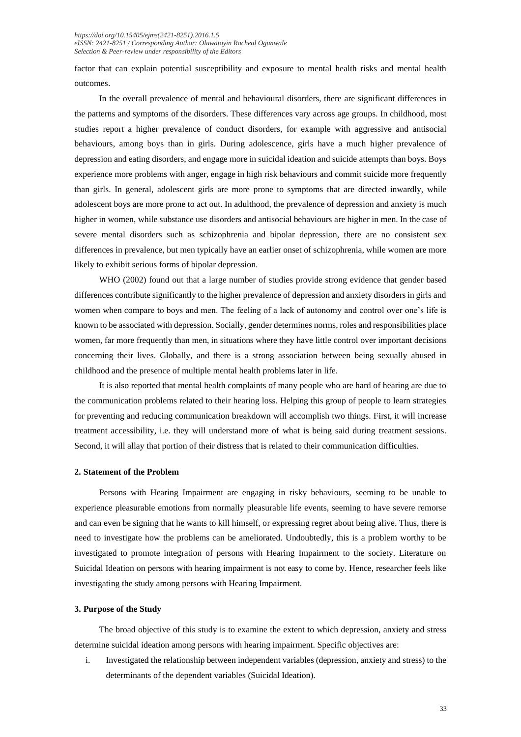factor that can explain potential susceptibility and exposure to mental health risks and mental health outcomes.

In the overall prevalence of mental and behavioural disorders, there are significant differences in the patterns and symptoms of the disorders. These differences vary across age groups. In childhood, most studies report a higher prevalence of conduct disorders, for example with aggressive and antisocial behaviours, among boys than in girls. During adolescence, girls have a much higher prevalence of depression and eating disorders, and engage more in suicidal ideation and suicide attempts than boys. Boys experience more problems with anger, engage in high risk behaviours and commit suicide more frequently than girls. In general, adolescent girls are more prone to symptoms that are directed inwardly, while adolescent boys are more prone to act out. In adulthood, the prevalence of depression and anxiety is much higher in women, while substance use disorders and antisocial behaviours are higher in men. In the case of severe mental disorders such as schizophrenia and bipolar depression, there are no consistent sex differences in prevalence, but men typically have an earlier onset of schizophrenia, while women are more likely to exhibit serious forms of bipolar depression.

WHO (2002) found out that a large number of studies provide strong evidence that gender based differences contribute significantly to the higher prevalence of depression and anxiety disorders in girls and women when compare to boys and men. The feeling of a lack of autonomy and control over one's life is known to be associated with depression. Socially, gender determines norms, roles and responsibilities place women, far more frequently than men, in situations where they have little control over important decisions concerning their lives. Globally, and there is a strong association between being sexually abused in childhood and the presence of multiple mental health problems later in life.

It is also reported that mental health complaints of many people who are hard of hearing are due to the communication problems related to their hearing loss. Helping this group of people to learn strategies for preventing and reducing communication breakdown will accomplish two things. First, it will increase treatment accessibility, i.e. they will understand more of what is being said during treatment sessions. Second, it will allay that portion of their distress that is related to their communication difficulties.

#### **2. Statement of the Problem**

Persons with Hearing Impairment are engaging in risky behaviours, seeming to be unable to experience pleasurable emotions from normally pleasurable life events, seeming to have severe remorse and can even be signing that he wants to kill himself, or expressing regret about being alive. Thus, there is need to investigate how the problems can be ameliorated. Undoubtedly, this is a problem worthy to be investigated to promote integration of persons with Hearing Impairment to the society. Literature on Suicidal Ideation on persons with hearing impairment is not easy to come by. Hence, researcher feels like investigating the study among persons with Hearing Impairment.

### **3. Purpose of the Study**

The broad objective of this study is to examine the extent to which depression, anxiety and stress determine suicidal ideation among persons with hearing impairment. Specific objectives are:

i. Investigated the relationship between independent variables (depression, anxiety and stress) to the determinants of the dependent variables (Suicidal Ideation).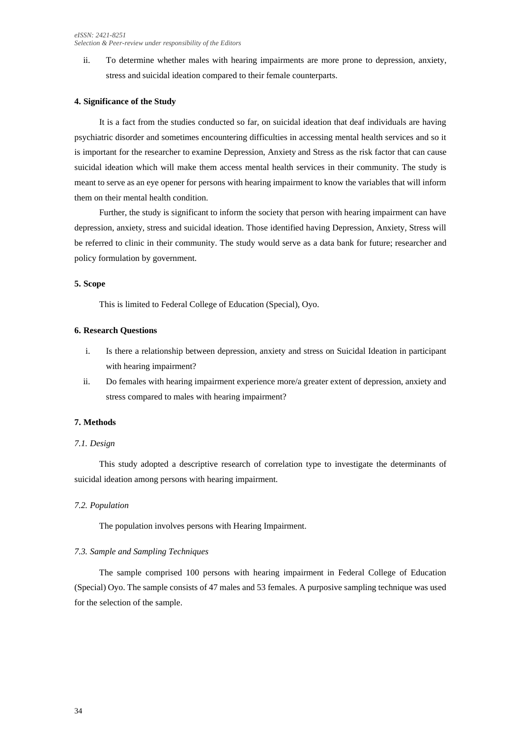ii. To determine whether males with hearing impairments are more prone to depression, anxiety, stress and suicidal ideation compared to their female counterparts.

## **4. Significance of the Study**

It is a fact from the studies conducted so far, on suicidal ideation that deaf individuals are having psychiatric disorder and sometimes encountering difficulties in accessing mental health services and so it is important for the researcher to examine Depression, Anxiety and Stress as the risk factor that can cause suicidal ideation which will make them access mental health services in their community. The study is meant to serve as an eye opener for persons with hearing impairment to know the variables that will inform them on their mental health condition.

Further, the study is significant to inform the society that person with hearing impairment can have depression, anxiety, stress and suicidal ideation. Those identified having Depression, Anxiety, Stress will be referred to clinic in their community. The study would serve as a data bank for future; researcher and policy formulation by government.

## **5. Scope**

This is limited to Federal College of Education (Special), Oyo.

## **6. Research Questions**

- i. Is there a relationship between depression, anxiety and stress on Suicidal Ideation in participant with hearing impairment?
- ii. Do females with hearing impairment experience more/a greater extent of depression, anxiety and stress compared to males with hearing impairment?

## **7. Methods**

## *7.1. Design*

This study adopted a descriptive research of correlation type to investigate the determinants of suicidal ideation among persons with hearing impairment.

## *7.2. Population*

The population involves persons with Hearing Impairment.

## *7.3. Sample and Sampling Techniques*

The sample comprised 100 persons with hearing impairment in Federal College of Education (Special) Oyo. The sample consists of 47 males and 53 females. A purposive sampling technique was used for the selection of the sample.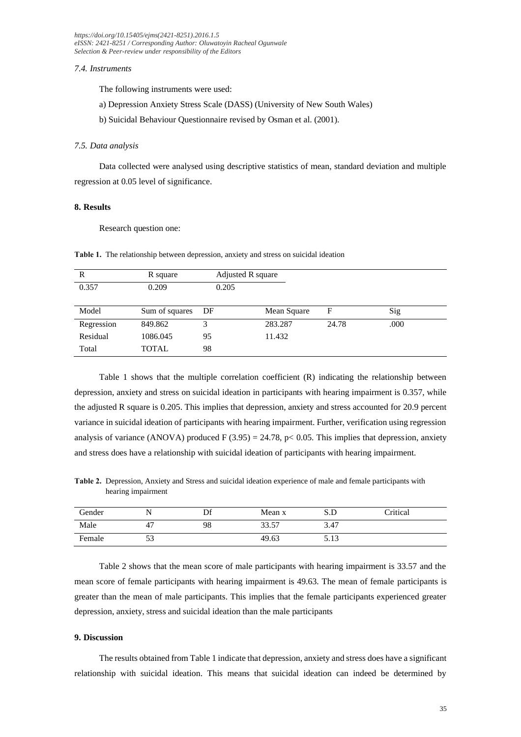*[https://doi.org/1](https://doi.org/)0.15405/ejms(2421-8251).2016.1.5 eISSN: 2421-8251 / Corresponding Author: Oluwatoyin Racheal Ogunwale Selection & Peer-review under responsibility of the Editors*

#### *7.4. Instruments*

The following instruments were used:

- a) Depression Anxiety Stress Scale (DASS) (University of New South Wales)
- b) Suicidal Behaviour Questionnaire revised by Osman et al. (2001).

#### *7.5. Data analysis*

Data collected were analysed using descriptive statistics of mean, standard deviation and multiple regression at 0.05 level of significance.

## **8. Results**

Research question one:

**Table 1.** The relationship between depression, anxiety and stress on suicidal ideation

| R          | R square       | Adjusted R square |             |       |      |
|------------|----------------|-------------------|-------------|-------|------|
| 0.357      | 0.209          | 0.205             |             |       |      |
|            |                |                   |             |       |      |
| Model      | Sum of squares | DF                | Mean Square | F     | Sig  |
| Regression | 849.862        | 3                 | 283.287     | 24.78 | .000 |
| Residual   | 1086.045       | 95                | 11.432      |       |      |
| Total      | <b>TOTAL</b>   | 98                |             |       |      |

Table 1 shows that the multiple correlation coefficient (R) indicating the relationship between depression, anxiety and stress on suicidal ideation in participants with hearing impairment is 0.357, while the adjusted R square is 0.205. This implies that depression, anxiety and stress accounted for 20.9 percent variance in suicidal ideation of participants with hearing impairment. Further, verification using regression analysis of variance (ANOVA) produced F (3.95) = 24.78, p < 0.05. This implies that depression, anxiety and stress does have a relationship with suicidal ideation of participants with hearing impairment.

**Table 2.** Depression, Anxiety and Stress and suicidal ideation experience of male and female participants with hearing impairment

| Gender |     | nc | Mean x | S.D  | Critical |
|--------|-----|----|--------|------|----------|
| Male   | 4   | 98 | 33.57  | 3.47 |          |
| Female | ر ر |    | 49.63  | 5.13 |          |

Table 2 shows that the mean score of male participants with hearing impairment is 33.57 and the mean score of female participants with hearing impairment is 49.63. The mean of female participants is greater than the mean of male participants. This implies that the female participants experienced greater depression, anxiety, stress and suicidal ideation than the male participants

## **9. Discussion**

The results obtained from Table 1 indicate that depression, anxiety and stress does have a significant relationship with suicidal ideation. This means that suicidal ideation can indeed be determined by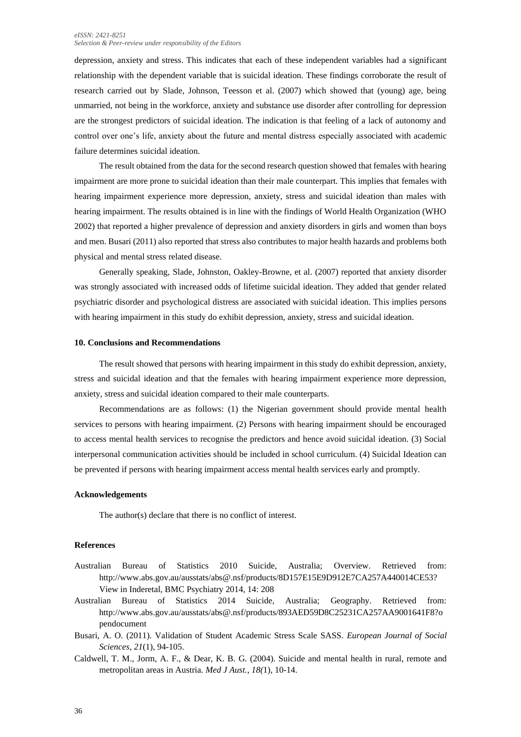#### *eISSN: 2421-8251 Selection & Peer-review under responsibility of the Editors*

depression, anxiety and stress. This indicates that each of these independent variables had a significant relationship with the dependent variable that is suicidal ideation. These findings corroborate the result of research carried out by Slade, Johnson, Teesson et al. (2007) which showed that (young) age, being unmarried, not being in the workforce, anxiety and substance use disorder after controlling for depression are the strongest predictors of suicidal ideation. The indication is that feeling of a lack of autonomy and control over one's life, anxiety about the future and mental distress especially associated with academic failure determines suicidal ideation.

The result obtained from the data for the second research question showed that females with hearing impairment are more prone to suicidal ideation than their male counterpart. This implies that females with hearing impairment experience more depression, anxiety, stress and suicidal ideation than males with hearing impairment. The results obtained is in line with the findings of World Health Organization (WHO 2002) that reported a higher prevalence of depression and anxiety disorders in girls and women than boys and men. Busari (2011) also reported that stress also contributes to major health hazards and problems both physical and mental stress related disease.

Generally speaking, Slade, Johnston, Oakley-Browne, et al. (2007) reported that anxiety disorder was strongly associated with increased odds of lifetime suicidal ideation. They added that gender related psychiatric disorder and psychological distress are associated with suicidal ideation. This implies persons with hearing impairment in this study do exhibit depression, anxiety, stress and suicidal ideation.

## **10. Conclusions and Recommendations**

The result showed that persons with hearing impairment in this study do exhibit depression, anxiety, stress and suicidal ideation and that the females with hearing impairment experience more depression, anxiety, stress and suicidal ideation compared to their male counterparts.

Recommendations are as follows: (1) the Nigerian government should provide mental health services to persons with hearing impairment. (2) Persons with hearing impairment should be encouraged to access mental health services to recognise the predictors and hence avoid suicidal ideation. (3) Social interpersonal communication activities should be included in school curriculum. (4) Suicidal Ideation can be prevented if persons with hearing impairment access mental health services early and promptly.

### **Acknowledgements**

The author(s) declare that there is no conflict of interest.

## **References**

- Australian Bureau of Statistics 2010 Suicide, Australia; Overview. Retrieved from: [http://www.abs.gov.au/ausstats/abs@.nsf/products/8D157E15E9D912E7CA257A440014CE53?](http://www.abs.gov.au/ausstats/abs@.nsf/products/8D157E15E9D912E7CA257A440014CE53) View in Inderetal, BMC Psychiatry 2014, 14: 208
- Australian Bureau of Statistics 2014 Suicide, Australia; Geography. Retrieved from: [http://www.abs.gov.au/ausstats/abs@.nsf/products/893AED59D8C25231CA257AA9001641F8?o](http://www.abs.gov.au/ausstats/abs@.nsf/products/893AED59D8C25231CA257AA9001641F8?opendocument) [pendocument](http://www.abs.gov.au/ausstats/abs@.nsf/products/893AED59D8C25231CA257AA9001641F8?opendocument)
- Busari, A. O. (2011). Validation of Student Academic Stress Scale SASS. *European Journal of Social Sciences, 21*(1), 94-105.
- Caldwell, T. M., Jorm, A. F., & Dear, K. B. G. (2004). Suicide and mental health in rural, remote and metropolitan areas in Austria. *Med J Aust., 18(*1), 10-14.